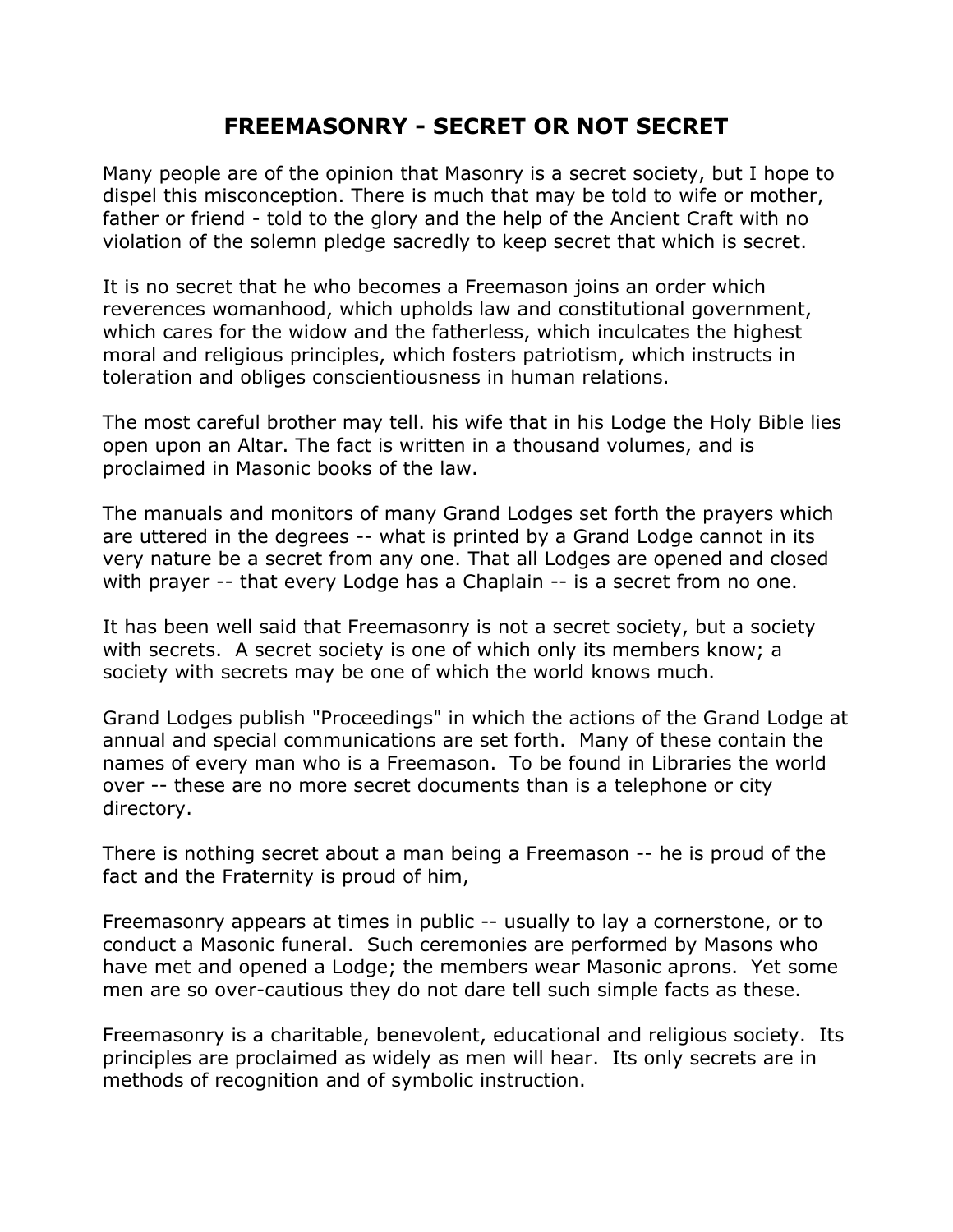## **FREEMASONRY - SECRET OR NOT SECRET**

Many people are of the opinion that Masonry is a secret society, but I hope to dispel this misconception. There is much that may be told to wife or mother, father or friend - told to the glory and the help of the Ancient Craft with no violation of the solemn pledge sacredly to keep secret that which is secret.

It is no secret that he who becomes a Freemason joins an order which reverences womanhood, which upholds law and constitutional government, which cares for the widow and the fatherless, which inculcates the highest moral and religious principles, which fosters patriotism, which instructs in toleration and obliges conscientiousness in human relations.

The most careful brother may tell. his wife that in his Lodge the Holy Bible lies open upon an Altar. The fact is written in a thousand volumes, and is proclaimed in Masonic books of the law.

The manuals and monitors of many Grand Lodges set forth the prayers which are uttered in the degrees -- what is printed by a Grand Lodge cannot in its very nature be a secret from any one. That all Lodges are opened and closed with prayer -- that every Lodge has a Chaplain -- is a secret from no one.

It has been well said that Freemasonry is not a secret society, but a society with secrets. A secret society is one of which only its members know; a society with secrets may be one of which the world knows much.

Grand Lodges publish "Proceedings" in which the actions of the Grand Lodge at annual and special communications are set forth. Many of these contain the names of every man who is a Freemason. To be found in Libraries the world over -- these are no more secret documents than is a telephone or city directory.

There is nothing secret about a man being a Freemason -- he is proud of the fact and the Fraternity is proud of him,

Freemasonry appears at times in public -- usually to lay a cornerstone, or to conduct a Masonic funeral. Such ceremonies are performed by Masons who have met and opened a Lodge; the members wear Masonic aprons. Yet some men are so over-cautious they do not dare tell such simple facts as these.

Freemasonry is a charitable, benevolent, educational and religious society. Its principles are proclaimed as widely as men will hear. Its only secrets are in methods of recognition and of symbolic instruction.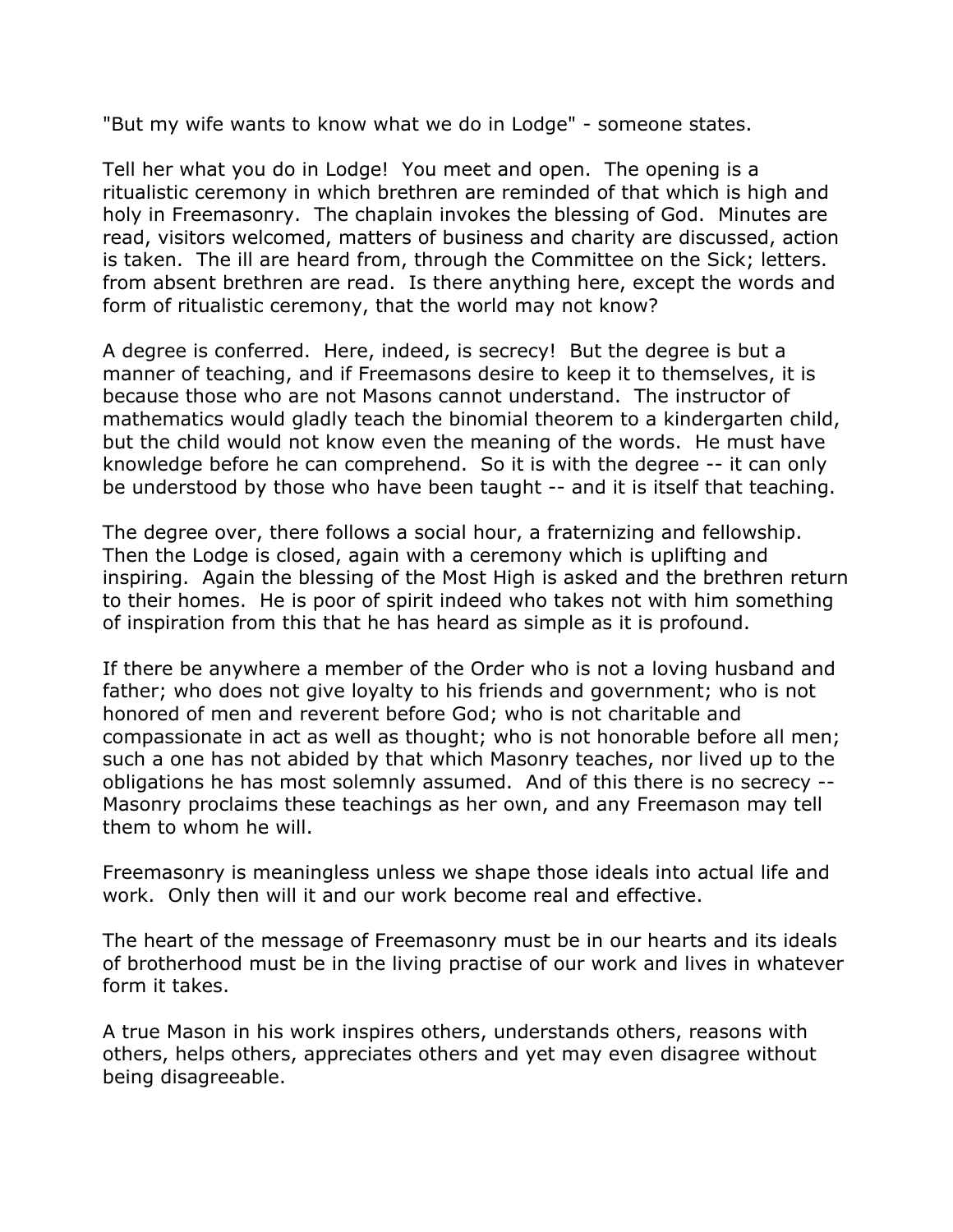"But my wife wants to know what we do in Lodge" - someone states.

Tell her what you do in Lodge! You meet and open. The opening is a ritualistic ceremony in which brethren are reminded of that which is high and holy in Freemasonry. The chaplain invokes the blessing of God. Minutes are read, visitors welcomed, matters of business and charity are discussed, action is taken. The ill are heard from, through the Committee on the Sick; letters. from absent brethren are read. Is there anything here, except the words and form of ritualistic ceremony, that the world may not know?

A degree is conferred. Here, indeed, is secrecy! But the degree is but a manner of teaching, and if Freemasons desire to keep it to themselves, it is because those who are not Masons cannot understand. The instructor of mathematics would gladly teach the binomial theorem to a kindergarten child, but the child would not know even the meaning of the words. He must have knowledge before he can comprehend. So it is with the degree -- it can only be understood by those who have been taught -- and it is itself that teaching.

The degree over, there follows a social hour, a fraternizing and fellowship. Then the Lodge is closed, again with a ceremony which is uplifting and inspiring. Again the blessing of the Most High is asked and the brethren return to their homes. He is poor of spirit indeed who takes not with him something of inspiration from this that he has heard as simple as it is profound.

If there be anywhere a member of the Order who is not a loving husband and father; who does not give loyalty to his friends and government; who is not honored of men and reverent before God; who is not charitable and compassionate in act as well as thought; who is not honorable before all men; such a one has not abided by that which Masonry teaches, nor lived up to the obligations he has most solemnly assumed. And of this there is no secrecy -- Masonry proclaims these teachings as her own, and any Freemason may tell them to whom he will.

Freemasonry is meaningless unless we shape those ideals into actual life and work. Only then will it and our work become real and effective.

The heart of the message of Freemasonry must be in our hearts and its ideals of brotherhood must be in the living practise of our work and lives in whatever form it takes.

A true Mason in his work inspires others, understands others, reasons with others, helps others, appreciates others and yet may even disagree without being disagreeable.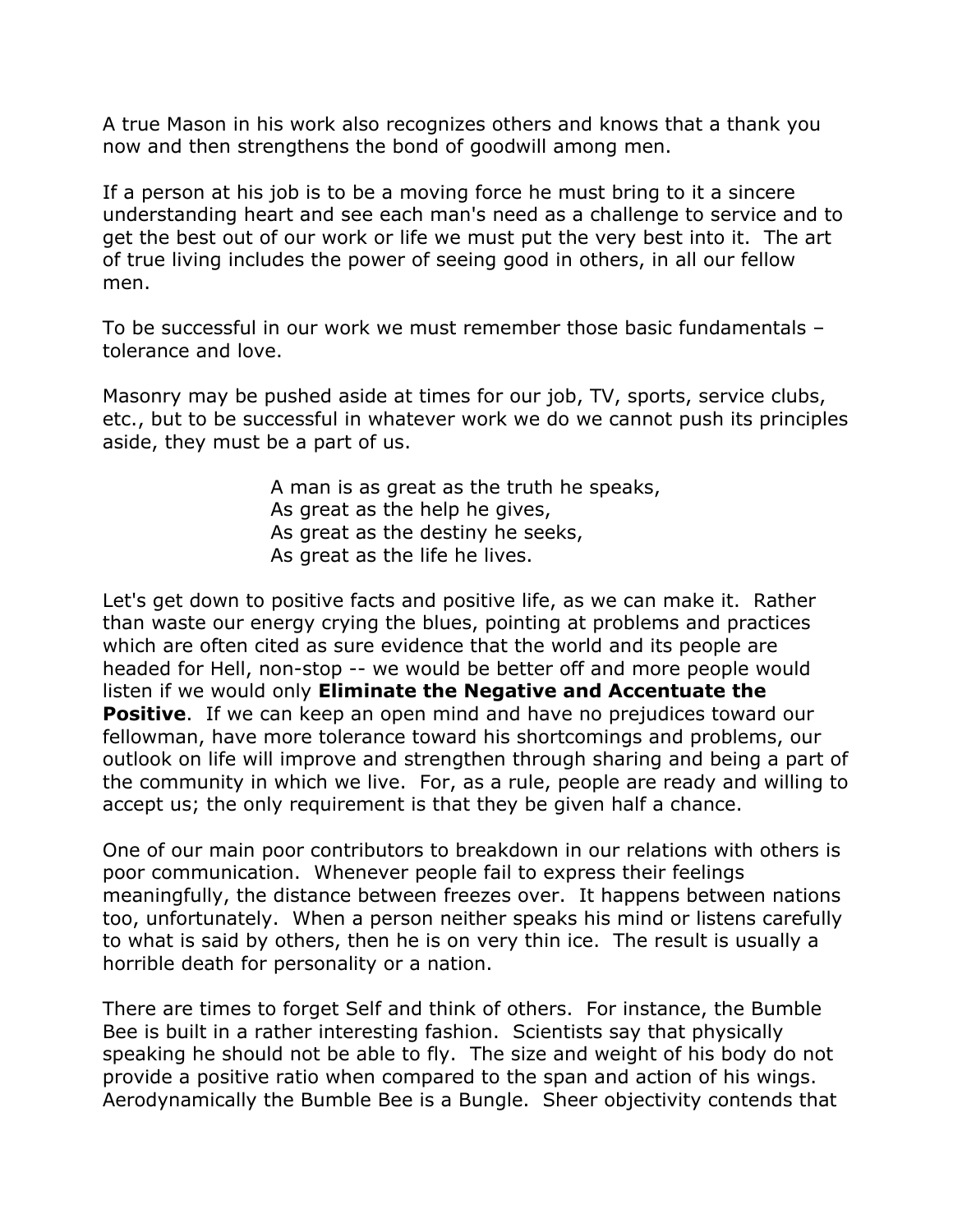A true Mason in his work also recognizes others and knows that a thank you now and then strengthens the bond of goodwill among men.

If a person at his job is to be a moving force he must bring to it a sincere understanding heart and see each man's need as a challenge to service and to get the best out of our work or life we must put the very best into it. The art of true living includes the power of seeing good in others, in all our fellow men.

To be successful in our work we must remember those basic fundamentals – tolerance and love.

Masonry may be pushed aside at times for our job, TV, sports, service clubs, etc., but to be successful in whatever work we do we cannot push its principles aside, they must be a part of us.

> A man is as great as the truth he speaks, As great as the help he gives, As great as the destiny he seeks, As great as the life he lives.

Let's get down to positive facts and positive life, as we can make it. Rather than waste our energy crying the blues, pointing at problems and practices which are often cited as sure evidence that the world and its people are headed for Hell, non-stop -- we would be better off and more people would listen if we would only **Eliminate the Negative and Accentuate the Positive.** If we can keep an open mind and have no prejudices toward our fellowman, have more tolerance toward his shortcomings and problems, our outlook on life will improve and strengthen through sharing and being a part of the community in which we live. For, as a rule, people are ready and willing to accept us; the only requirement is that they be given half a chance.

One of our main poor contributors to breakdown in our relations with others is poor communication. Whenever people fail to express their feelings meaningfully, the distance between freezes over. It happens between nations too, unfortunately. When a person neither speaks his mind or listens carefully to what is said by others, then he is on very thin ice. The result is usually a horrible death for personality or a nation.

There are times to forget Self and think of others. For instance, the Bumble Bee is built in a rather interesting fashion. Scientists say that physically speaking he should not be able to fly. The size and weight of his body do not provide a positive ratio when compared to the span and action of his wings. Aerodynamically the Bumble Bee is a Bungle. Sheer objectivity contends that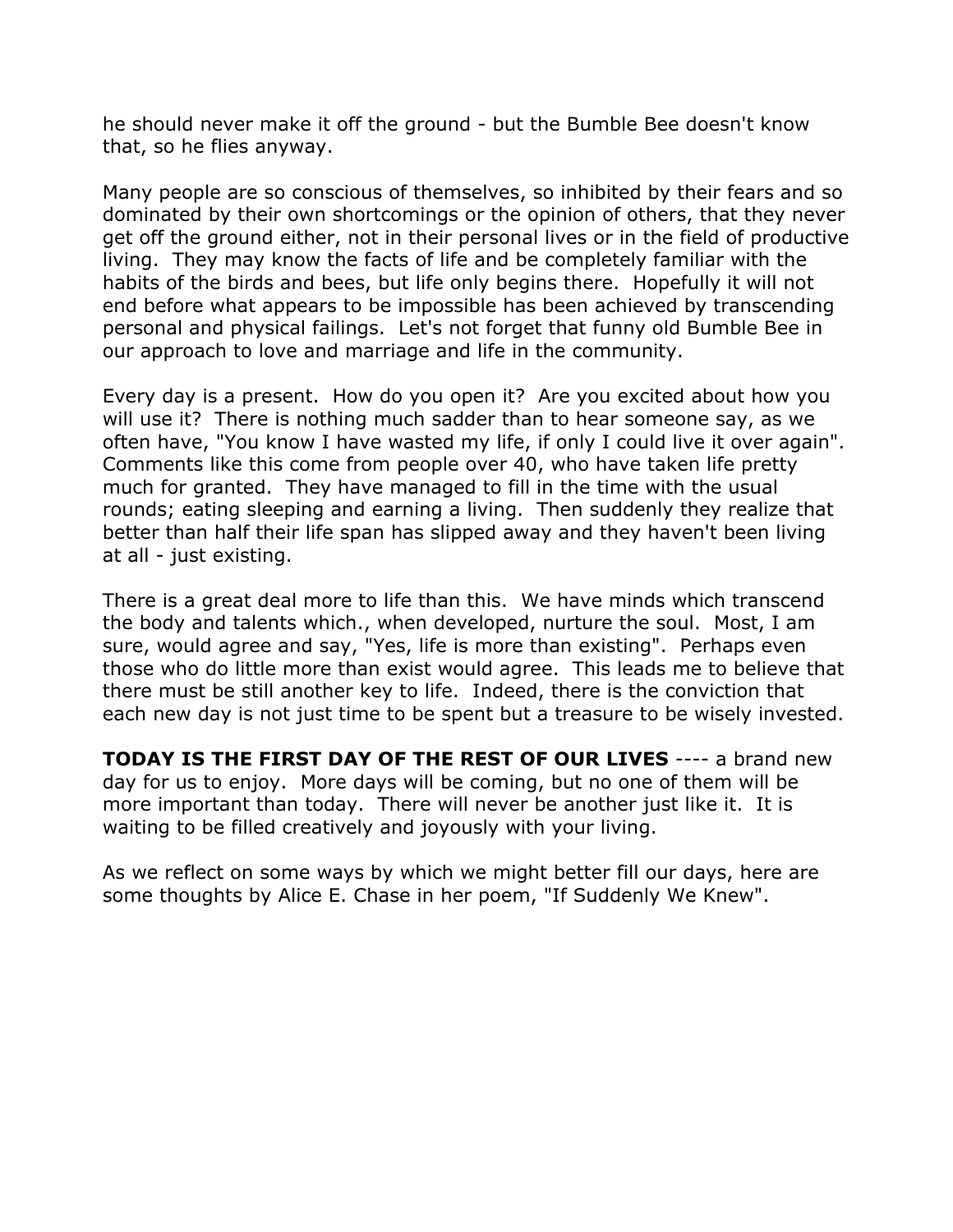he should never make it off the ground - but the Bumble Bee doesn't know that, so he flies anyway.

Many people are so conscious of themselves, so inhibited by their fears and so dominated by their own shortcomings or the opinion of others, that they never get off the ground either, not in their personal lives or in the field of productive living. They may know the facts of life and be completely familiar with the habits of the birds and bees, but life only begins there. Hopefully it will not end before what appears to be impossible has been achieved by transcending personal and physical failings. Let's not forget that funny old Bumble Bee in our approach to love and marriage and life in the community.

Every day is a present. How do you open it? Are you excited about how you will use it? There is nothing much sadder than to hear someone say, as we often have, "You know I have wasted my life, if only I could live it over again". Comments like this come from people over 40, who have taken life pretty much for granted. They have managed to fill in the time with the usual rounds; eating sleeping and earning a living. Then suddenly they realize that better than half their life span has slipped away and they haven't been living at all - just existing.

There is a great deal more to life than this. We have minds which transcend the body and talents which., when developed, nurture the soul. Most, I am sure, would agree and say, "Yes, life is more than existing". Perhaps even those who do little more than exist would agree. This leads me to believe that there must be still another key to life. Indeed, there is the conviction that each new day is not just time to be spent but a treasure to be wisely invested.

**TODAY IS THE FIRST DAY OF THE REST OF OUR LIVES** ---- a brand new day for us to enjoy. More days will be coming, but no one of them will be more important than today. There will never be another just like it. It is waiting to be filled creatively and joyously with your living.

As we reflect on some ways by which we might better fill our days, here are some thoughts by Alice E. Chase in her poem, "If Suddenly We Knew".